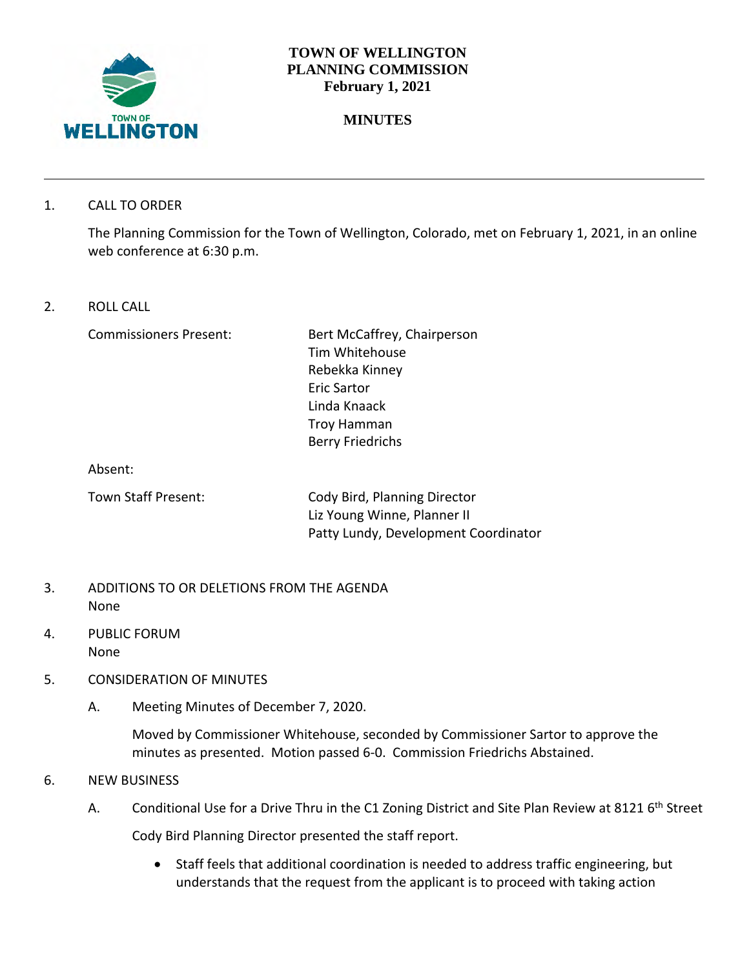

### **TOWN OF WELLINGTON PLANNING COMMISSION February 1, 2021**

# **MINUTES**

1. CALL TO ORDER

The Planning Commission for the Town of Wellington, Colorado, met on February 1, 2021, in an online web conference at 6:30 p.m.

2. ROLL CALL

Commissioners Present: Bert McCaffrey, Chairperson Tim Whitehouse Rebekka Kinney Eric Sartor Linda Knaack Troy Hamman Berry Friedrichs

Absent:

Town Staff Present: Cody Bird, Planning Director Liz Young Winne, Planner II Patty Lundy, Development Coordinator

- 3. ADDITIONS TO OR DELETIONS FROM THE AGENDA None
- 4. PUBLIC FORUM None
- 5. CONSIDERATION OF MINUTES
	- A. Meeting Minutes of December 7, 2020.

Moved by Commissioner Whitehouse, seconded by Commissioner Sartor to approve the minutes as presented. Motion passed 6-0. Commission Friedrichs Abstained.

- 6. NEW BUSINESS
	- A. Conditional Use for a Drive Thru in the C1 Zoning District and Site Plan Review at 8121 6<sup>th</sup> Street

Cody Bird Planning Director presented the staff report.

 Staff feels that additional coordination is needed to address traffic engineering, but understands that the request from the applicant is to proceed with taking action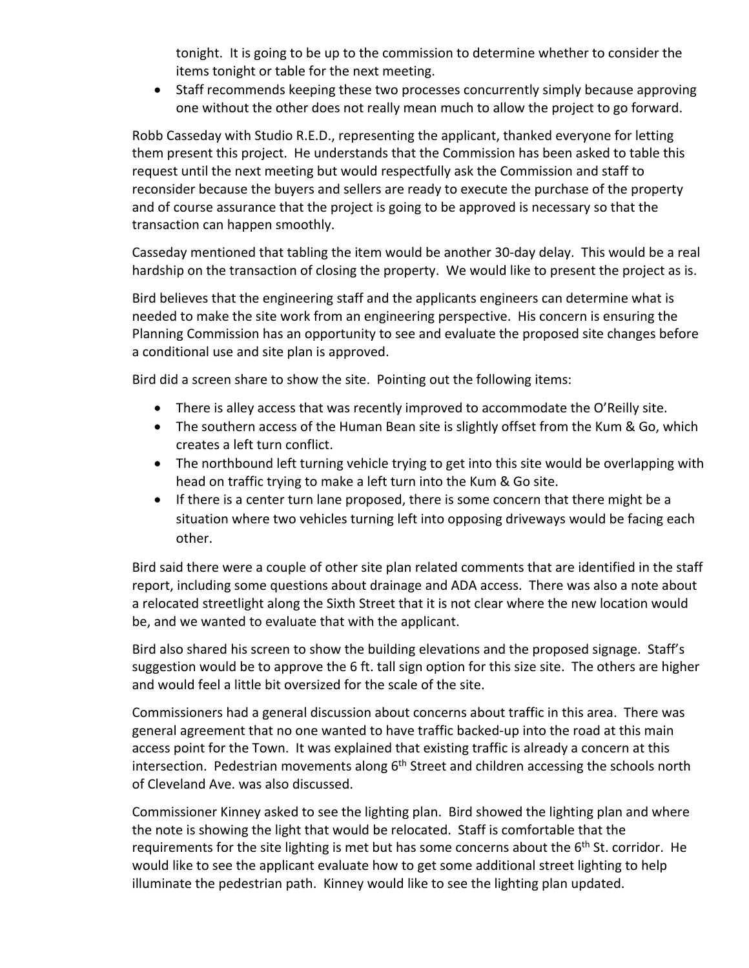tonight. It is going to be up to the commission to determine whether to consider the items tonight or table for the next meeting.

• Staff recommends keeping these two processes concurrently simply because approving one without the other does not really mean much to allow the project to go forward.

Robb Casseday with Studio R.E.D., representing the applicant, thanked everyone for letting them present this project. He understands that the Commission has been asked to table this request until the next meeting but would respectfully ask the Commission and staff to reconsider because the buyers and sellers are ready to execute the purchase of the property and of course assurance that the project is going to be approved is necessary so that the transaction can happen smoothly.

Casseday mentioned that tabling the item would be another 30-day delay. This would be a real hardship on the transaction of closing the property. We would like to present the project as is.

Bird believes that the engineering staff and the applicants engineers can determine what is needed to make the site work from an engineering perspective. His concern is ensuring the Planning Commission has an opportunity to see and evaluate the proposed site changes before a conditional use and site plan is approved.

Bird did a screen share to show the site. Pointing out the following items:

- There is alley access that was recently improved to accommodate the O'Reilly site.
- The southern access of the Human Bean site is slightly offset from the Kum & Go, which creates a left turn conflict.
- The northbound left turning vehicle trying to get into this site would be overlapping with head on traffic trying to make a left turn into the Kum & Go site.
- If there is a center turn lane proposed, there is some concern that there might be a situation where two vehicles turning left into opposing driveways would be facing each other.

Bird said there were a couple of other site plan related comments that are identified in the staff report, including some questions about drainage and ADA access. There was also a note about a relocated streetlight along the Sixth Street that it is not clear where the new location would be, and we wanted to evaluate that with the applicant.

Bird also shared his screen to show the building elevations and the proposed signage. Staff's suggestion would be to approve the 6 ft. tall sign option for this size site. The others are higher and would feel a little bit oversized for the scale of the site.

Commissioners had a general discussion about concerns about traffic in this area. There was general agreement that no one wanted to have traffic backed-up into the road at this main access point for the Town. It was explained that existing traffic is already a concern at this intersection. Pedestrian movements along  $6<sup>th</sup>$  Street and children accessing the schools north of Cleveland Ave. was also discussed.

Commissioner Kinney asked to see the lighting plan. Bird showed the lighting plan and where the note is showing the light that would be relocated. Staff is comfortable that the requirements for the site lighting is met but has some concerns about the 6<sup>th</sup> St. corridor. He would like to see the applicant evaluate how to get some additional street lighting to help illuminate the pedestrian path. Kinney would like to see the lighting plan updated.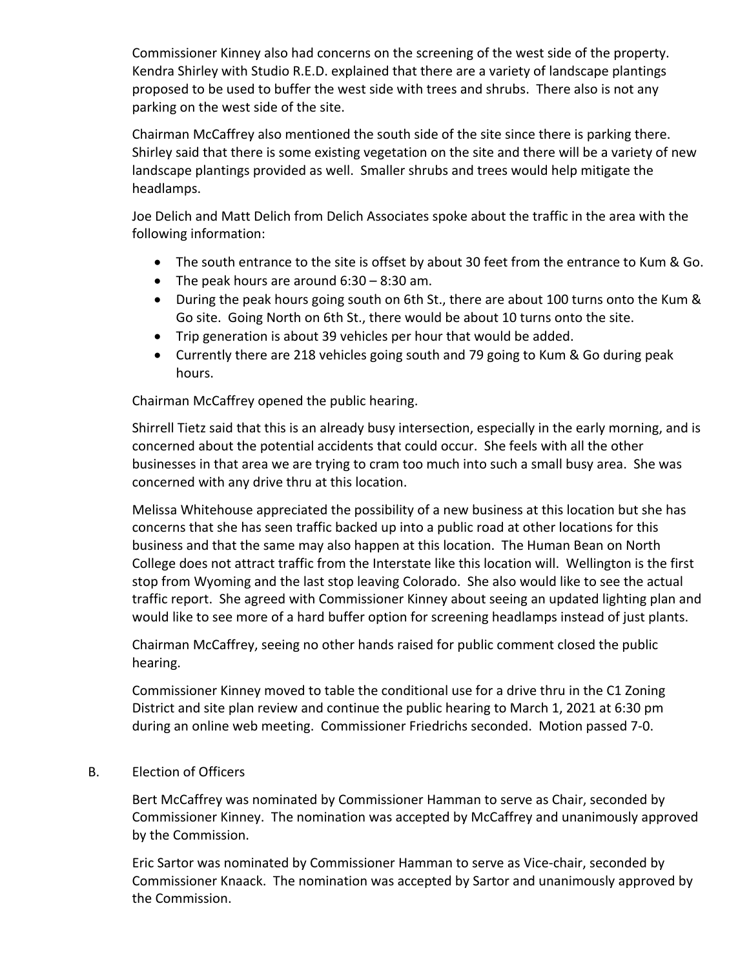Commissioner Kinney also had concerns on the screening of the west side of the property. Kendra Shirley with Studio R.E.D. explained that there are a variety of landscape plantings proposed to be used to buffer the west side with trees and shrubs. There also is not any parking on the west side of the site.

Chairman McCaffrey also mentioned the south side of the site since there is parking there. Shirley said that there is some existing vegetation on the site and there will be a variety of new landscape plantings provided as well. Smaller shrubs and trees would help mitigate the headlamps.

Joe Delich and Matt Delich from Delich Associates spoke about the traffic in the area with the following information:

- The south entrance to the site is offset by about 30 feet from the entrance to Kum & Go.
- The peak hours are around 6:30 8:30 am.
- During the peak hours going south on 6th St., there are about 100 turns onto the Kum & Go site. Going North on 6th St., there would be about 10 turns onto the site.
- Trip generation is about 39 vehicles per hour that would be added.
- Currently there are 218 vehicles going south and 79 going to Kum & Go during peak hours.

Chairman McCaffrey opened the public hearing.

Shirrell Tietz said that this is an already busy intersection, especially in the early morning, and is concerned about the potential accidents that could occur. She feels with all the other businesses in that area we are trying to cram too much into such a small busy area. She was concerned with any drive thru at this location.

Melissa Whitehouse appreciated the possibility of a new business at this location but she has concerns that she has seen traffic backed up into a public road at other locations for this business and that the same may also happen at this location. The Human Bean on North College does not attract traffic from the Interstate like this location will. Wellington is the first stop from Wyoming and the last stop leaving Colorado. She also would like to see the actual traffic report. She agreed with Commissioner Kinney about seeing an updated lighting plan and would like to see more of a hard buffer option for screening headlamps instead of just plants.

Chairman McCaffrey, seeing no other hands raised for public comment closed the public hearing.

Commissioner Kinney moved to table the conditional use for a drive thru in the C1 Zoning District and site plan review and continue the public hearing to March 1, 2021 at 6:30 pm during an online web meeting. Commissioner Friedrichs seconded. Motion passed 7-0.

## B. Election of Officers

Bert McCaffrey was nominated by Commissioner Hamman to serve as Chair, seconded by Commissioner Kinney. The nomination was accepted by McCaffrey and unanimously approved by the Commission.

Eric Sartor was nominated by Commissioner Hamman to serve as Vice-chair, seconded by Commissioner Knaack. The nomination was accepted by Sartor and unanimously approved by the Commission.